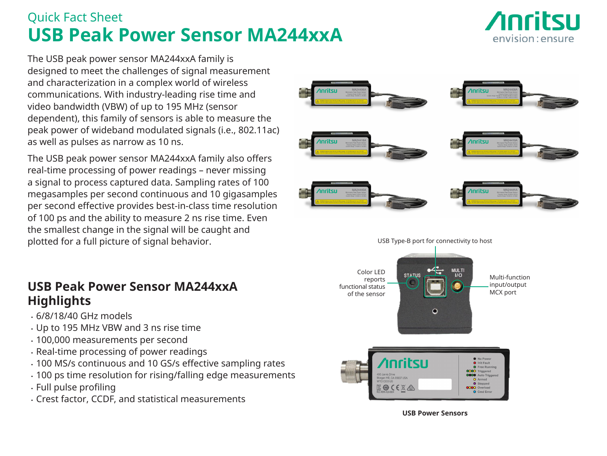# Quick Fact Sheet **USB Peak Power Sensor MA244xxA**



The USB peak power sensor MA244xxA family is designed to meet the challenges of signal measurement and characterization in a complex world of wireless communications. With industry-leading rise time and video bandwidth (VBW) of up to 195 MHz (sensor dependent), this family of sensors is able to measure the peak power of wideband modulated signals (i.e., 802.11ac) as well as pulses as narrow as 10 ns.

The USB peak power sensor MA244xxA family also offers real-time processing of power readings – never missing a signal to process captured data. Sampling rates of 100 megasamples per second continuous and 10 gigasamples per second effective provides best-in-class time resolution of 100 ps and the ability to measure 2 ns rise time. Even the smallest change in the signal will be caught and plotted for a full picture of signal behavior.

### **USB Peak Power Sensor MA244xxA Highlights**

- 6/8/18/40 GHz models
- Up to 195 MHz VBW and 3 ns rise time
- 100,000 measurements per second
- Real-time processing of power readings
- 100 MS/s continuous and 10 GS/s effective sampling rates
- 100 ps time resolution for rising/falling edge measurements
- Full pulse profiling
- Crest factor, CCDF, and statistical measurements





**USB Power Sensors**